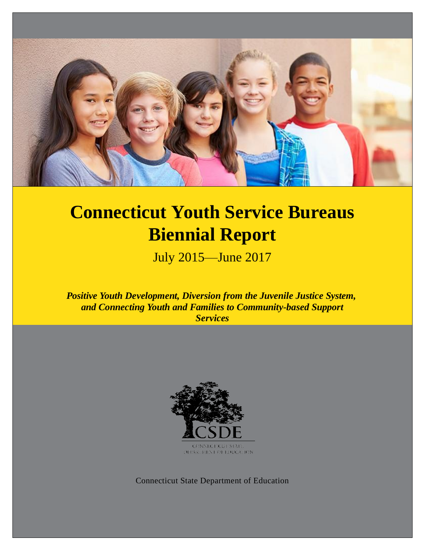

# **Connecticut Youth Service Bureaus Biennial Report**

July 2015—June 2017

*Positive Youth Development, Diversion from the Juvenile Justice System, and Connecting Youth and Families to Community-based Support Services*



Connecticut State Department of Education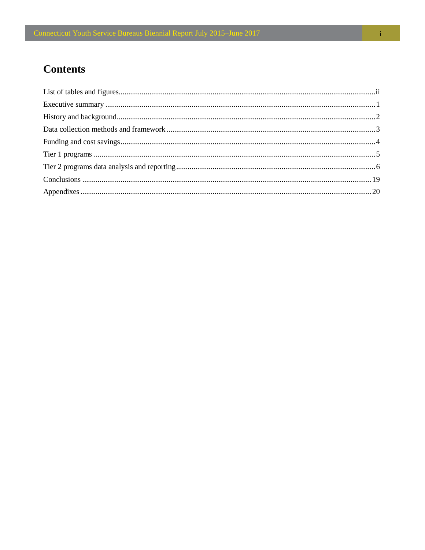## **Contents**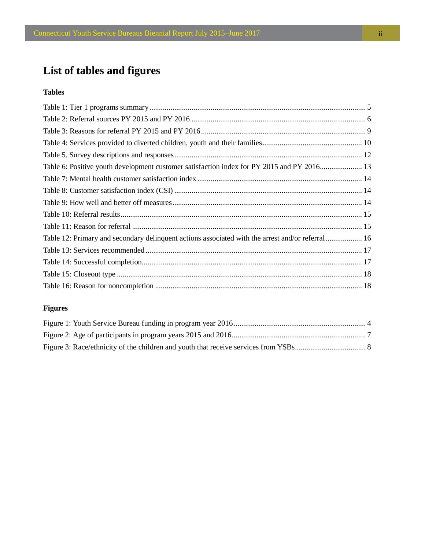## <span id="page-2-0"></span>**List of tables and figures**

#### **Tables**

| Table 6: Positive youth development customer satisfaction index for PY 2015 and PY 2016 13        |  |
|---------------------------------------------------------------------------------------------------|--|
|                                                                                                   |  |
|                                                                                                   |  |
|                                                                                                   |  |
|                                                                                                   |  |
|                                                                                                   |  |
| Table 12: Primary and secondary delinquent actions associated with the arrest and/or referral  16 |  |
|                                                                                                   |  |
|                                                                                                   |  |
|                                                                                                   |  |
|                                                                                                   |  |

### **Figures**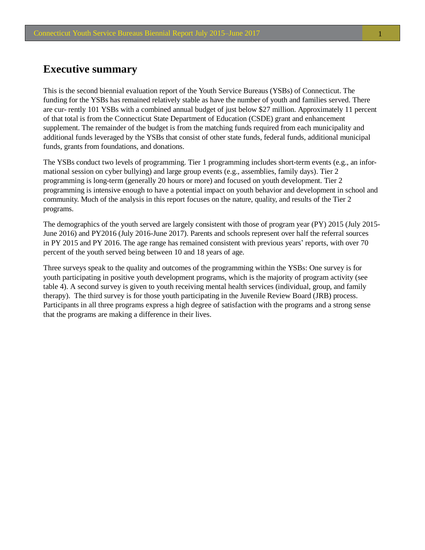## <span id="page-3-0"></span>**Executive summary**

This is the second biennial evaluation report of the Youth Service Bureaus (YSBs) of Connecticut. The funding for the YSBs has remained relatively stable as have the number of youth and families served. There are cur- rently 101 YSBs with a combined annual budget of just below \$27 million. Approximately 11 percent of that total is from the Connecticut State Department of Education (CSDE) grant and enhancement supplement. The remainder of the budget is from the matching funds required from each municipality and additional funds leveraged by the YSBs that consist of other state funds, federal funds, additional municipal funds, grants from foundations, and donations.

The YSBs conduct two levels of programming. Tier 1 programming includes short-term events (e.g., an informational session on cyber bullying) and large group events (e.g., assemblies, family days). Tier 2 programming is long-term (generally 20 hours or more) and focused on youth development. Tier 2 programming is intensive enough to have a potential impact on youth behavior and development in school and community. Much of the analysis in this report focuses on the nature, quality, and results of the Tier 2 programs.

The demographics of the youth served are largely consistent with those of program year (PY) 2015 (July 2015- June 2016) and PY2016 (July 2016-June 2017). Parents and schools represent over half the referral sources in PY 2015 and PY 2016. The age range has remained consistent with previous years' reports, with over 70 percent of the youth served being between 10 and 18 years of age.

Three surveys speak to the quality and outcomes of the programming within the YSBs: One survey is for youth participating in positive youth development programs, which is the majority of program activity (see table 4). A second survey is given to youth receiving mental health services (individual, group, and family therapy). The third survey is for those youth participating in the Juvenile Review Board (JRB) process. Participants in all three programs express a high degree of satisfaction with the programs and a strong sense that the programs are making a difference in their lives.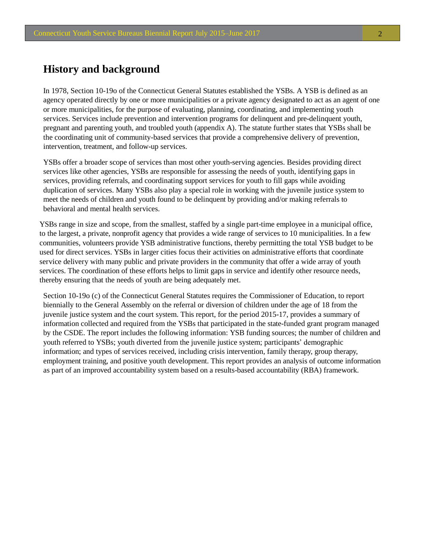## <span id="page-4-0"></span>**History and background**

In 1978, Section 10-19o of the Connecticut General Statutes established the YSBs. A YSB is defined as an agency operated directly by one or more municipalities or a private agency designated to act as an agent of one or more municipalities, for the purpose of evaluating, planning, coordinating, and implementing youth services. Services include prevention and intervention programs for delinquent and pre-delinquent youth, pregnant and parenting youth, and troubled youth (appendix A). The statute further states that YSBs shall be the coordinating unit of community-based services that provide a comprehensive delivery of prevention, intervention, treatment, and follow-up services.

YSBs offer a broader scope of services than most other youth-serving agencies. Besides providing direct services like other agencies, YSBs are responsible for assessing the needs of youth, identifying gaps in services, providing referrals, and coordinating support services for youth to fill gaps while avoiding duplication of services. Many YSBs also play a special role in working with the juvenile justice system to meet the needs of children and youth found to be delinquent by providing and/or making referrals to behavioral and mental health services.

YSBs range in size and scope, from the smallest, staffed by a single part-time employee in a municipal office, to the largest, a private, nonprofit agency that provides a wide range of services to 10 municipalities. In a few communities, volunteers provide YSB administrative functions, thereby permitting the total YSB budget to be used for direct services. YSBs in larger cities focus their activities on administrative efforts that coordinate service delivery with many public and private providers in the community that offer a wide array of youth services. The coordination of these efforts helps to limit gaps in service and identify other resource needs, thereby ensuring that the needs of youth are being adequately met.

Section 10-19o (c) of the Connecticut General Statutes requires the Commissioner of Education, to report biennially to the General Assembly on the referral or diversion of children under the age of 18 from the juvenile justice system and the court system. This report, for the period 2015-17, provides a summary of information collected and required from the YSBs that participated in the state-funded grant program managed by the CSDE. The report includes the following information: YSB funding sources; the number of children and youth referred to YSBs; youth diverted from the juvenile justice system; participants' demographic information; and types of services received, including crisis intervention, family therapy, group therapy, employment training, and positive youth development. This report provides an analysis of outcome information as part of an improved accountability system based on a results-based accountability (RBA) framework.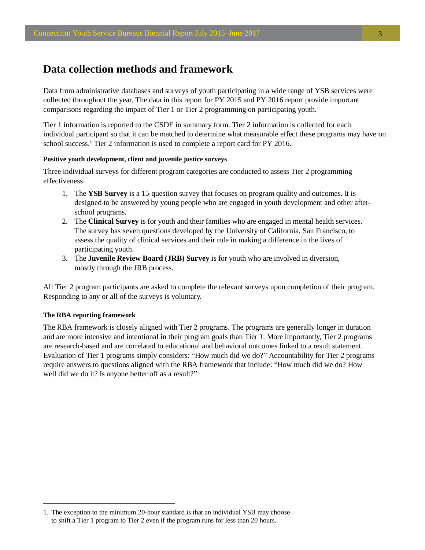## <span id="page-5-0"></span>**Data collection methods and framework**

Data from administrative databases and surveys of youth participating in a wide range of YSB services were collected throughout the year. The data in this report for PY 2015 and PY 2016 report provide important comparisons regarding the impact of Tier 1 or Tier 2 programming on participating youth.

Tier 1 information is reported to the CSDE in summary form. Tier 2 information is collected for each individual participant so that it can be matched to determine what measurable effect these programs may have on school success.**<sup>1</sup>** Tier 2 information is used to complete a report card for PY 2016.

#### **Positive youth development, client and juvenile justice surveys**

Three individual surveys for different program categories are conducted to assess Tier 2 programming effectiveness:

- 1. The **YSB Survey** is a 15-question survey that focuses on program quality and outcomes. It is designed to be answered by young people who are engaged in youth development and other afterschool programs.
- 2. The **Clinical Survey** is for youth and their families who are engaged in mental health services. The survey has seven questions developed by the University of California, San Francisco, to assess the quality of clinical services and their role in making a difference in the lives of participating youth.
- 3. The **Juvenile Review Board (JRB) Survey** is for youth who are involved in diversion, mostly through the JRB process.

All Tier 2 program participants are asked to complete the relevant surveys upon completion of their program. Responding to any or all of the surveys is voluntary.

#### **The RBA reporting framework**

The RBA framework is closely aligned with Tier 2 programs. The programs are generally longer in duration and are more intensive and intentional in their program goals than Tier 1. More importantly, Tier 2 programs are research-based and are correlated to educational and behavioral outcomes linked to a result statement. Evaluation of Tier 1 programs simply considers: "How much did we do?" Accountability for Tier 2 programs require answers to questions aligned with the RBA framework that include: "How much did we do? How well did we do it? Is anyone better off as a result?"

<sup>1.</sup> The exception to the minimum 20-hour standard is that an individual YSB may choose to shift a Tier 1 program to Tier 2 even if the program runs for less than 20 hours.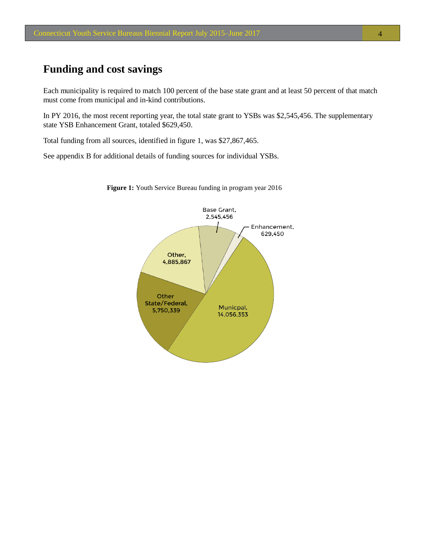## <span id="page-6-0"></span>**Funding and cost savings**

Each municipality is required to match 100 percent of the base state grant and at least 50 percent of that match must come from municipal and in-kind contributions.

In PY 2016, the most recent reporting year, the total state grant to YSBs was \$2,545,456. The supplementary state YSB Enhancement Grant, totaled \$629,450.

Total funding from all sources, identified in figure 1, was \$27,867,465.

See appendix B for additional details of funding sources for individual YSBs.



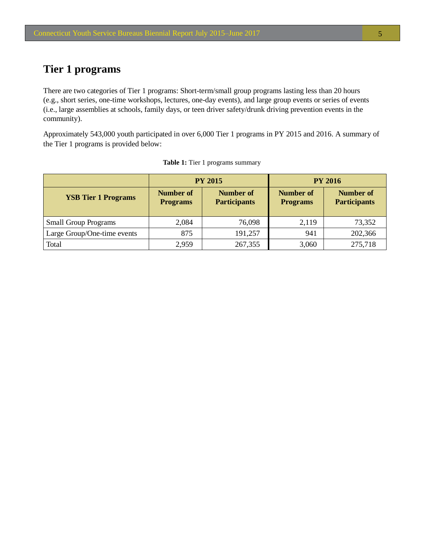## <span id="page-7-0"></span>**Tier 1 programs**

There are two categories of Tier 1 programs: Short-term/small group programs lasting less than 20 hours (e.g., short series, one-time workshops, lectures, one-day events), and large group events or series of events (i.e., large assemblies at schools, family days, or teen driver safety/drunk driving prevention events in the community).

Approximately 543,000 youth participated in over 6,000 Tier 1 programs in PY 2015 and 2016. A summary of the Tier 1 programs is provided below:

|                             |                                                                                | <b>PY 2015</b> |                                     | <b>PY 2016</b>                          |
|-----------------------------|--------------------------------------------------------------------------------|----------------|-------------------------------------|-----------------------------------------|
| <b>YSB Tier 1 Programs</b>  | <b>Number of</b><br><b>Number of</b><br><b>Participants</b><br><b>Programs</b> |                | <b>Number of</b><br><b>Programs</b> | <b>Number of</b><br><b>Participants</b> |
| <b>Small Group Programs</b> | 2,084                                                                          | 76,098         | 2,119                               | 73,352                                  |
| Large Group/One-time events | 875                                                                            | 191,257        | 941                                 | 202,366                                 |
| Total                       | 2,959                                                                          | 267,355        | 3,060                               | 275,718                                 |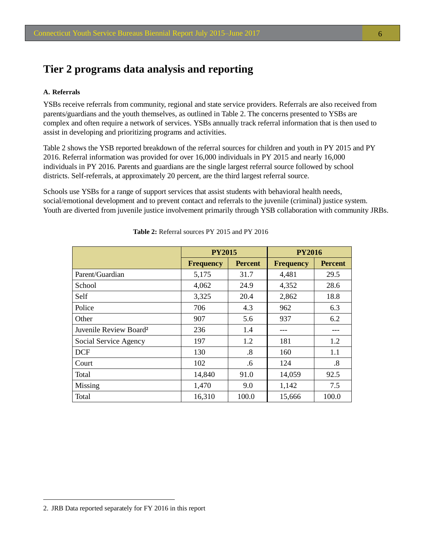## <span id="page-8-0"></span>**Tier 2 programs data analysis and reporting**

#### **A. Referrals**

YSBs receive referrals from community, regional and state service providers. Referrals are also received from parents/guardians and the youth themselves, as outlined in Table 2. The concerns presented to YSBs are complex and often require a network of services. YSBs annually track referral information that is then used to assist in developing and prioritizing programs and activities.

Table 2 shows the YSB reported breakdown of the referral sources for children and youth in PY 2015 and PY 2016. Referral information was provided for over 16,000 individuals in PY 2015 and nearly 16,000 individuals in PY 2016. Parents and guardians are the single largest referral source followed by school districts. Self-referrals, at approximately 20 percent, are the third largest referral source.

Schools use YSBs for a range of support services that assist students with behavioral health needs, social/emotional development and to prevent contact and referrals to the juvenile (criminal) justice system. Youth are diverted from juvenile justice involvement primarily through YSB collaboration with community JRBs.

|                                    | <b>PY2015</b>    |                | <b>PY2016</b>    |                |  |
|------------------------------------|------------------|----------------|------------------|----------------|--|
|                                    | <b>Frequency</b> | <b>Percent</b> | <b>Frequency</b> | <b>Percent</b> |  |
| Parent/Guardian                    | 5,175            | 31.7           | 4,481            | 29.5           |  |
| School                             | 4,062            | 24.9           | 4,352            | 28.6           |  |
| Self                               | 3,325            | 20.4           | 2,862            | 18.8           |  |
| Police                             | 706              | 4.3            | 962              | 6.3            |  |
| Other                              | 907              | 5.6            | 937              | 6.2            |  |
| Juvenile Review Board <sup>2</sup> | 236              | 1.4            |                  |                |  |
| Social Service Agency              | 197              | 1.2            | 181              | 1.2            |  |
| <b>DCF</b>                         | 130              | .8             | 160              | 1.1            |  |
| Court                              | 102              | .6             | 124              | .8             |  |
| Total                              | 14,840           | 91.0           | 14,059           | 92.5           |  |
| Missing                            | 1,470            | 9.0            | 1,142            | 7.5            |  |
| Total                              | 16,310           | 100.0          | 15,666           | 100.0          |  |

**Table 2:** Referral sources PY 2015 and PY 2016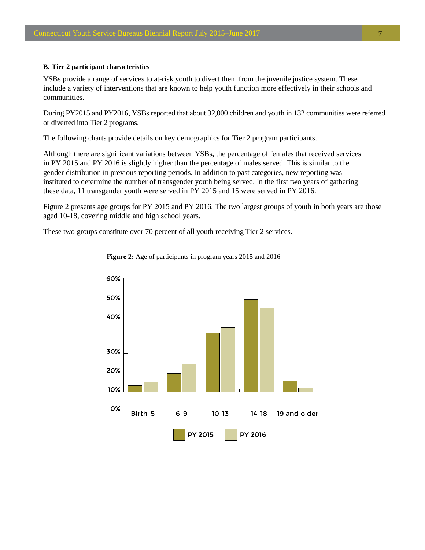#### <span id="page-9-0"></span>**B. Tier 2 participant characteristics**

YSBs provide a range of services to at-risk youth to divert them from the juvenile justice system. These include a variety of interventions that are known to help youth function more effectively in their schools and communities.

During PY2015 and PY2016, YSBs reported that about 32,000 children and youth in 132 communities were referred or diverted into Tier 2 programs.

The following charts provide details on key demographics for Tier 2 program participants.

Although there are significant variations between YSBs, the percentage of females that received services in PY 2015 and PY 2016 is slightly higher than the percentage of males served. This is similar to the gender distribution in previous reporting periods. In addition to past categories, new reporting was instituted to determine the number of transgender youth being served. In the first two years of gathering these data, 11 transgender youth were served in PY 2015 and 15 were served in PY 2016.

Figure 2 presents age groups for PY 2015 and PY 2016. The two largest groups of youth in both years are those aged 10-18, covering middle and high school years.

These two groups constitute over 70 percent of all youth receiving Tier 2 services.



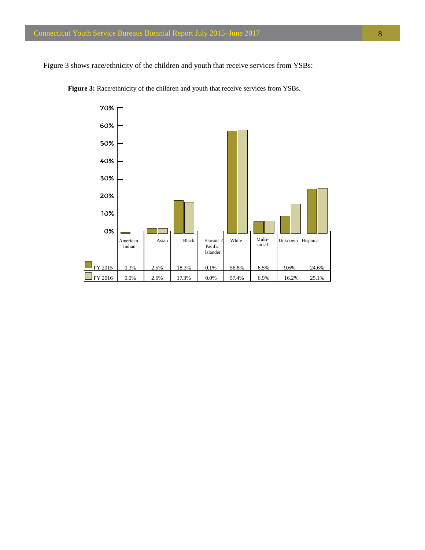<span id="page-10-0"></span>Figure 3 shows race/ethnicity of the children and youth that receive services from YSBs:



Figure 3: Race/ethnicity of the children and youth that receive services from YSBs.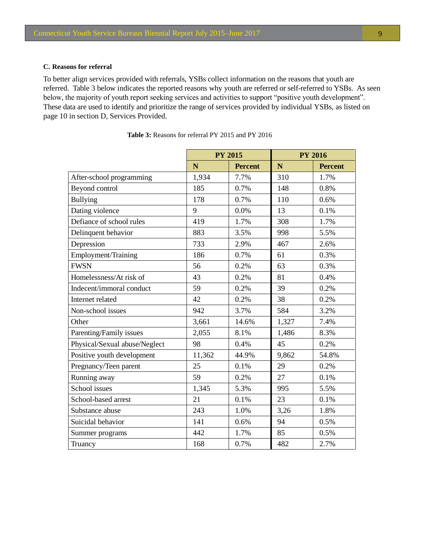#### <span id="page-11-0"></span>**C. Reasons for referral**

To better align services provided with referrals, YSBs collect information on the reasons that youth are referred. Table 3 below indicates the reported reasons why youth are referred or self-referred to YSBs. As seen below, the majority of youth report seeking services and activities to support "positive youth development". These data are used to identify and prioritize the range of services provided by individual YSBs, as listed on page 10 in section D, Services Provided.

|                               |        | <b>PY 2015</b> |       | <b>PY 2016</b> |
|-------------------------------|--------|----------------|-------|----------------|
|                               | N      | <b>Percent</b> | N     | <b>Percent</b> |
| After-school programming      | 1,934  | 7.7%           | 310   | 1.7%           |
| Beyond control                | 185    | 0.7%           | 148   | 0.8%           |
| <b>Bullying</b>               | 178    | 0.7%           | 110   | 0.6%           |
| Dating violence               | 9      | 0.0%           | 13    | 0.1%           |
| Defiance of school rules      | 419    | 1.7%           | 308   | 1.7%           |
| Delinquent behavior           | 883    | 3.5%           | 998   | 5.5%           |
| Depression                    | 733    | 2.9%           | 467   | 2.6%           |
| Employment/Training           | 186    | 0.7%           | 61    | 0.3%           |
| <b>FWSN</b>                   | 56     | 0.2%           | 63    | 0.3%           |
| Homelessness/At risk of       | 43     | 0.2%           | 81    | 0.4%           |
| Indecent/immoral conduct      | 59     | 0.2%           | 39    | 0.2%           |
| Internet related              | 42     | 0.2%           | 38    | 0.2%           |
| Non-school issues             | 942    | 3.7%           | 584   | 3.2%           |
| Other                         | 3,661  | 14.6%          | 1,327 | 7.4%           |
| Parenting/Family issues       | 2,055  | 8.1%           | 1,486 | 8.3%           |
| Physical/Sexual abuse/Neglect | 98     | 0.4%           | 45    | 0.2%           |
| Positive youth development    | 11,362 | 44.9%          | 9,862 | 54.8%          |
| Pregnancy/Teen parent         | 25     | 0.1%           | 29    | 0.2%           |
| Running away                  | 59     | 0.2%           | 27    | 0.1%           |
| School issues                 | 1,345  | 5.3%           | 995   | 5.5%           |
| School-based arrest           | 21     | 0.1%           | 23    | 0.1%           |
| Substance abuse               | 243    | 1.0%           | 3,26  | 1.8%           |
| Suicidal behavior             | 141    | 0.6%           | 94    | 0.5%           |
| Summer programs               | 442    | 1.7%           | 85    | 0.5%           |
| Truancy                       | 168    | 0.7%           | 482   | 2.7%           |

**Table 3:** Reasons for referral PY 2015 and PY 2016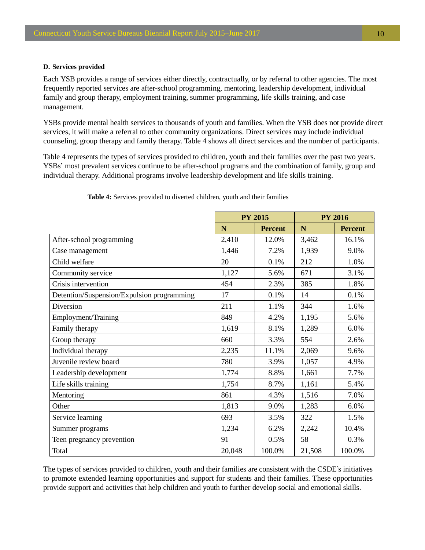#### <span id="page-12-0"></span>**D. Services provided**

Each YSB provides a range of services either directly, contractually, or by referral to other agencies. The most frequently reported services are after-school programming, mentoring, leadership development, individual family and group therapy, employment training, summer programming, life skills training, and case management.

YSBs provide mental health services to thousands of youth and families. When the YSB does not provide direct services, it will make a referral to other community organizations. Direct services may include individual counseling, group therapy and family therapy. Table 4 shows all direct services and the number of participants.

Table 4 represents the types of services provided to children, youth and their families over the past two years. YSBs' most prevalent services continue to be after-school programs and the combination of family, group and individual therapy. Additional programs involve leadership development and life skills training.

|                                            | <b>PY 2015</b> |                | <b>PY 2016</b> |                |
|--------------------------------------------|----------------|----------------|----------------|----------------|
|                                            | N              | <b>Percent</b> | N              | <b>Percent</b> |
| After-school programming                   | 2,410          | 12.0%          | 3,462          | 16.1%          |
| Case management                            | 1,446          | 7.2%           | 1,939          | 9.0%           |
| Child welfare                              | 20             | 0.1%           | 212            | 1.0%           |
| Community service                          | 1,127          | 5.6%           | 671            | 3.1%           |
| Crisis intervention                        | 454            | 2.3%           | 385            | 1.8%           |
| Detention/Suspension/Expulsion programming | 17             | 0.1%           | 14             | 0.1%           |
| Diversion                                  | 211            | 1.1%           | 344            | 1.6%           |
| Employment/Training                        | 849            | 4.2%           | 1,195          | 5.6%           |
| Family therapy                             | 1,619          | 8.1%           | 1,289          | 6.0%           |
| Group therapy                              | 660            | 3.3%           | 554            | 2.6%           |
| Individual therapy                         | 2,235          | 11.1%          | 2,069          | 9.6%           |
| Juvenile review board                      | 780            | 3.9%           | 1,057          | 4.9%           |
| Leadership development                     | 1,774          | 8.8%           | 1,661          | 7.7%           |
| Life skills training                       | 1,754          | 8.7%           | 1,161          | 5.4%           |
| Mentoring                                  | 861            | 4.3%           | 1,516          | 7.0%           |
| Other                                      | 1,813          | 9.0%           | 1,283          | 6.0%           |
| Service learning                           | 693            | 3.5%           | 322            | 1.5%           |
| Summer programs                            | 1,234          | 6.2%           | 2,242          | 10.4%          |
| Teen pregnancy prevention                  | 91             | 0.5%           | 58             | 0.3%           |
| Total                                      | 20,048         | 100.0%         | 21,508         | 100.0%         |

**Table 4:** Services provided to diverted children, youth and their families

The types of services provided to children, youth and their families are consistent with the CSDE's initiatives to promote extended learning opportunities and support for students and their families. These opportunities provide support and activities that help children and youth to further develop social and emotional skills.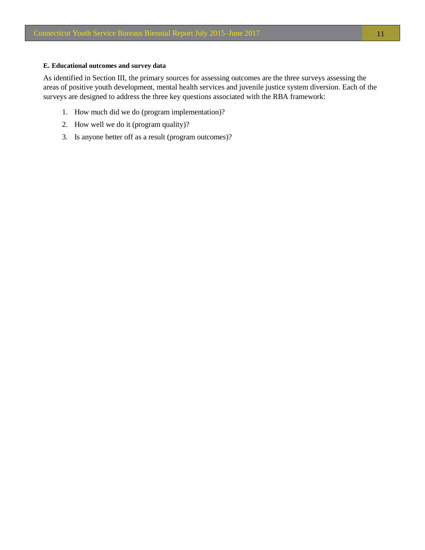#### **E. Educational outcomes and survey data**

As identified in Section III, the primary sources for assessing outcomes are the three surveys assessing the areas of positive youth development, mental health services and juvenile justice system diversion. Each of the surveys are designed to address the three key questions associated with the RBA framework:

- 1. How much did we do (program implementation)?
- 2. How well we do it (program quality)?
- 3. Is anyone better off as a result (program outcomes)?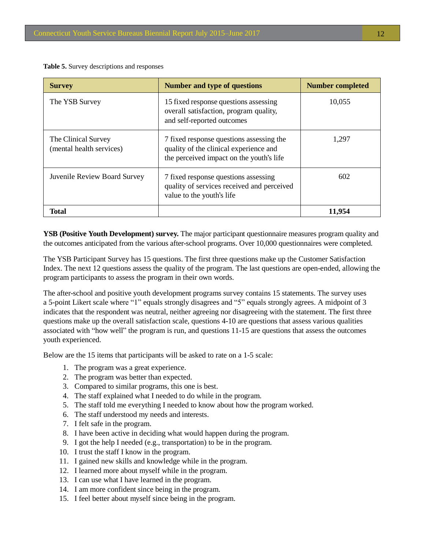<span id="page-14-0"></span>**Table 5.** Survey descriptions and responses

| <b>Survey</b>                                   | <b>Number and type of questions</b>                                                                                            | <b>Number completed</b> |
|-------------------------------------------------|--------------------------------------------------------------------------------------------------------------------------------|-------------------------|
| The YSB Survey                                  | 15 fixed response questions assessing<br>overall satisfaction, program quality,<br>and self-reported outcomes                  | 10,055                  |
| The Clinical Survey<br>(mental health services) | 7 fixed response questions assessing the<br>quality of the clinical experience and<br>the perceived impact on the youth's life | 1,297                   |
| Juvenile Review Board Survey                    | 7 fixed response questions assessing<br>quality of services received and perceived<br>value to the youth's life                | 602                     |
| Total                                           |                                                                                                                                | 11.954                  |

**YSB (Positive Youth Development) survey.** The major participant questionnaire measures program quality and the outcomes anticipated from the various after-school programs. Over 10,000 questionnaires were completed.

The YSB Participant Survey has 15 questions. The first three questions make up the Customer Satisfaction Index. The next 12 questions assess the quality of the program. The last questions are open-ended, allowing the program participants to assess the program in their own words.

The after-school and positive youth development programs survey contains 15 statements. The survey uses a 5-point Likert scale where "1" equals strongly disagrees and "5" equals strongly agrees. A midpoint of 3 indicates that the respondent was neutral, neither agreeing nor disagreeing with the statement. The first three questions make up the overall satisfaction scale, questions 4-10 are questions that assess various qualities associated with "how well" the program is run, and questions 11-15 are questions that assess the outcomes youth experienced.

Below are the 15 items that participants will be asked to rate on a 1-5 scale:

- 1. The program was a great experience.
- 2. The program was better than expected.
- 3. Compared to similar programs, this one is best.
- 4. The staff explained what I needed to do while in the program.
- 5. The staff told me everything I needed to know about how the program worked.
- 6. The staff understood my needs and interests.
- 7. I felt safe in the program.
- 8. I have been active in deciding what would happen during the program.
- 9. I got the help I needed (e.g., transportation) to be in the program.
- 10. I trust the staff I know in the program.
- 11. I gained new skills and knowledge while in the program.
- 12. I learned more about myself while in the program.
- 13. I can use what I have learned in the program.
- 14. I am more confident since being in the program.
- 15. I feel better about myself since being in the program.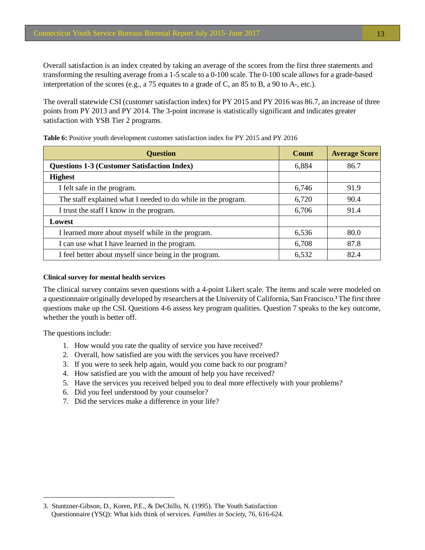<span id="page-15-0"></span>Overall satisfaction is an index created by taking an average of the scores from the first three statements and transforming the resulting average from a 1-5 scale to a 0-100 scale. The 0-100 scale allows for a grade-based interpretation of the scores (e.g., a 75 equates to a grade of C, an 85 to B, a 90 to A-, etc.).

The overall statewide CSI (customer satisfaction index) for PY 2015 and PY 2016 was 86.7, an increase of three points from PY 2013 and PY 2014. The 3-point increase is statistically significant and indicates greater satisfaction with YSB Tier 2 programs.

| <b>Question</b>                                               | <b>Count</b> | <b>Average Score</b> |
|---------------------------------------------------------------|--------------|----------------------|
| <b>Questions 1-3 (Customer Satisfaction Index)</b>            | 6,884        | 86.7                 |
| <b>Highest</b>                                                |              |                      |
| I felt safe in the program.                                   | 6,746        | 91.9                 |
| The staff explained what I needed to do while in the program. | 6,720        | 90.4                 |
| I trust the staff I know in the program.                      | 6,706        | 91.4                 |
| Lowest                                                        |              |                      |
| I learned more about myself while in the program.             | 6,536        | 80.0                 |
| I can use what I have learned in the program.                 | 6,708        | 87.8                 |
| I feel better about myself since being in the program.        | 6,532        | 82.4                 |

**Table 6:** Positive youth development customer satisfaction index for PY 2015 and PY 2016

#### **Clinical survey for mental health services**

The clinical survey contains seven questions with a 4-point Likert scale. The items and scale were modeled on a questionnaire originally developed by researchers at the University of California, San Francisco. **<sup>3</sup>** The first three questions make up the CSI. Questions 4-6 assess key program qualities. Question 7 speaks to the key outcome, whether the youth is better off.

The questions include:

- 1. How would you rate the quality of service you have received?
- 2. Overall, how satisfied are you with the services you have received?
- 3. If you were to seek help again, would you come back to our program?
- 4. How satisfied are you with the amount of help you have received?
- 5. Have the services you received helped you to deal more effectively with your problems?
- 6. Did you feel understood by your counselor?
- 7. Did the services make a difference in your life?

<sup>3.</sup> Stuntzner-Gibson, D., Koren, P.E., & DeChillo, N. (1995). The Youth Satisfaction Questionnaire (YSQ): What kids think of services. *Families in Society,* 76, 616-624.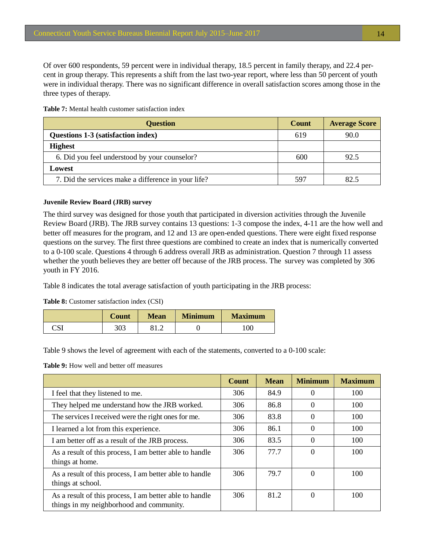<span id="page-16-0"></span>Of over 600 respondents, 59 percent were in individual therapy, 18.5 percent in family therapy, and 22.4 percent in group therapy. This represents a shift from the last two-year report, where less than 50 percent of youth were in individual therapy. There was no significant difference in overall satisfaction scores among those in the three types of therapy.

**Table 7:** Mental health customer satisfaction index

| <b>Question</b>                                     | <b>Count</b> | <b>Average Score</b> |
|-----------------------------------------------------|--------------|----------------------|
| <b>Questions 1-3 (satisfaction index)</b>           | 619          | 90.0                 |
| <b>Highest</b>                                      |              |                      |
| 6. Did you feel understood by your counselor?       | 600          | 92.5                 |
| Lowest                                              |              |                      |
| 7. Did the services make a difference in your life? | 597          | 82.5                 |

#### **Juvenile Review Board (JRB) survey**

The third survey was designed for those youth that participated in diversion activities through the Juvenile Review Board (JRB). The JRB survey contains 13 questions: 1-3 compose the index, 4-11 are the how well and better off measures for the program, and 12 and 13 are open-ended questions. There were eight fixed response questions on the survey. The first three questions are combined to create an index that is numerically converted to a 0-100 scale. Questions 4 through 6 address overall JRB as administration. Question 7 through 11 assess whether the youth believes they are better off because of the JRB process. The survey was completed by 306 youth in FY 2016.

Table 8 indicates the total average satisfaction of youth participating in the JRB process:

**Table 8:** Customer satisfaction index (CSI)

|             | Count | Mean  | <b>Minimum</b> | <b>Maximum</b> |
|-------------|-------|-------|----------------|----------------|
| וסי<br>لائب | 303   | ے ۔ د |                | 100            |

Table 9 shows the level of agreement with each of the statements, converted to a 0-100 scale:

**Table 9:** How well and better off measures

|                                                                                                     | <b>Count</b> | <b>Mean</b> | <b>Minimum</b> | <b>Maximum</b> |
|-----------------------------------------------------------------------------------------------------|--------------|-------------|----------------|----------------|
| I feel that they listened to me.                                                                    | 306          | 84.9        | 0              | 100            |
| They helped me understand how the JRB worked.                                                       | 306          | 86.8        | $\Omega$       | 100            |
| The services I received were the right ones for me.                                                 | 306          | 83.8        | $\Omega$       | 100            |
| I learned a lot from this experience.                                                               | 306          | 86.1        | $\Omega$       | 100            |
| I am better off as a result of the JRB process.                                                     | 306          | 83.5        | $\Omega$       | 100            |
| As a result of this process, I am better able to handle<br>things at home.                          | 306          | 77.7        | $\Omega$       | 100            |
| As a result of this process, I am better able to handle<br>things at school.                        | 306          | 79.7        | $\Omega$       | 100            |
| As a result of this process, I am better able to handle<br>things in my neighborhood and community. | 306          | 81.2        | $\Omega$       | 100            |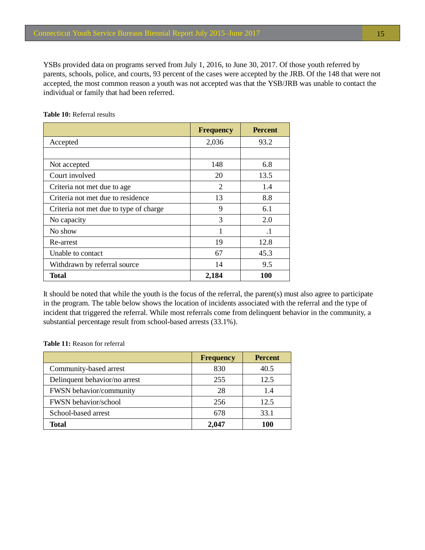<span id="page-17-0"></span>YSBs provided data on programs served from July 1, 2016, to June 30, 2017. Of those youth referred by parents, schools, police, and courts, 93 percent of the cases were accepted by the JRB. Of the 148 that were not accepted, the most common reason a youth was not accepted was that the YSB/JRB was unable to contact the individual or family that had been referred.

|                                        | <b>Frequency</b> | <b>Percent</b> |
|----------------------------------------|------------------|----------------|
| Accepted                               | 2,036            | 93.2           |
|                                        |                  |                |
| Not accepted                           | 148              | 6.8            |
| Court involved                         | 20               | 13.5           |
| Criteria not met due to age            | 2                | 1.4            |
| Criteria not met due to residence      | 13               | 8.8            |
| Criteria not met due to type of charge | 9                | 6.1            |
| No capacity                            | 3                | 2.0            |
| No show                                | 1                | $\cdot$ 1      |
| Re-arrest                              | 19               | 12.8           |
| Unable to contact                      | 67               | 45.3           |
| Withdrawn by referral source           | 14               | 9.5            |
| <b>Total</b>                           | 2,184            | 100            |

**Table 10:** Referral results

It should be noted that while the youth is the focus of the referral, the parent(s) must also agree to participate in the program. The table below shows the location of incidents associated with the referral and the type of incident that triggered the referral. While most referrals come from delinquent behavior in the community, a substantial percentage result from school-based arrests (33.1%).

**Table 11:** Reason for referral

|                                | <b>Frequency</b> | <b>Percent</b> |
|--------------------------------|------------------|----------------|
| Community-based arrest         | 830              | 40.5           |
| Delinquent behavior/no arrest  | 255              | 12.5           |
| <b>FWSN</b> behavior/community | 28               | 1.4            |
| <b>FWSN</b> behavior/school    | 256              | 12.5           |
| School-based arrest            | 678              | 33.1           |
| Total                          | 2.047            | 100            |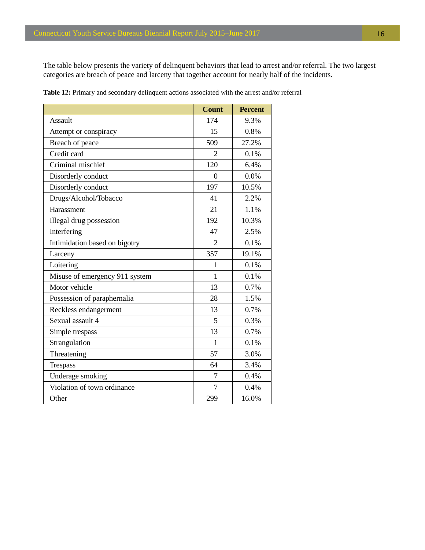<span id="page-18-0"></span>The table below presents the variety of delinquent behaviors that lead to arrest and/or referral. The two largest categories are breach of peace and larceny that together account for nearly half of the incidents.

|                                | <b>Count</b>   | <b>Percent</b> |
|--------------------------------|----------------|----------------|
| <b>Assault</b>                 | 174            | 9.3%           |
| Attempt or conspiracy          | 15             | 0.8%           |
| Breach of peace                | 509            | 27.2%          |
| Credit card                    | $\overline{2}$ | 0.1%           |
| Criminal mischief              | 120            | 6.4%           |
| Disorderly conduct             | $\overline{0}$ | 0.0%           |
| Disorderly conduct             | 197            | 10.5%          |
| Drugs/Alcohol/Tobacco          | 41             | 2.2%           |
| Harassment                     | 21             | 1.1%           |
| Illegal drug possession        | 192            | 10.3%          |
| Interfering                    | 47             | 2.5%           |
| Intimidation based on bigotry  | $\overline{2}$ | 0.1%           |
| Larceny                        | 357            | 19.1%          |
| Loitering                      | 1              | 0.1%           |
| Misuse of emergency 911 system | $\mathbf{1}$   | 0.1%           |
| Motor vehicle                  | 13             | 0.7%           |
| Possession of paraphernalia    | 28             | 1.5%           |
| Reckless endangerment          | 13             | 0.7%           |
| Sexual assault 4               | 5              | 0.3%           |
| Simple trespass                | 13             | 0.7%           |
| Strangulation                  | $\mathbf{1}$   | 0.1%           |
| Threatening                    | 57             | 3.0%           |
| Trespass                       | 64             | 3.4%           |
| Underage smoking               | 7              | 0.4%           |
| Violation of town ordinance    | $\overline{7}$ | 0.4%           |
| Other                          | 299            | 16.0%          |

**Table 12:** Primary and secondary delinquent actions associated with the arrest and/or referral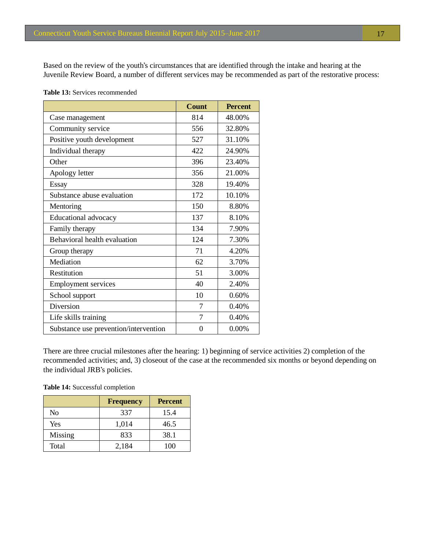<span id="page-19-0"></span>Based on the review of the youth's circumstances that are identified through the intake and hearing at the Juvenile Review Board, a number of different services may be recommended as part of the restorative process:

|  |  |  |  | <b>Table 13:</b> Services recommended |
|--|--|--|--|---------------------------------------|
|--|--|--|--|---------------------------------------|

|                                       | <b>Count</b> | <b>Percent</b> |
|---------------------------------------|--------------|----------------|
| Case management                       | 814          | 48.00%         |
| Community service                     | 556          | 32.80%         |
| Positive youth development            | 527          | 31.10%         |
| Individual therapy                    | 422          | 24.90%         |
| Other                                 | 396          | 23.40%         |
| Apology letter                        | 356          | 21.00%         |
| Essay                                 | 328          | 19.40%         |
| Substance abuse evaluation            | 172          | 10.10%         |
| Mentoring                             | 150          | 8.80%          |
| Educational advocacy                  | 137          | 8.10%          |
| Family therapy                        | 134          | 7.90%          |
| Behavioral health evaluation          | 124          | 7.30%          |
| Group therapy                         | 71           | 4.20%          |
| Mediation                             | 62           | 3.70%          |
| Restitution                           | 51           | 3.00%          |
| <b>Employment services</b>            | 40           | 2.40%          |
| School support                        | 10           | 0.60%          |
| Diversion                             | 7            | 0.40%          |
| Life skills training                  | 7            | 0.40%          |
| Substance use prevention/intervention | $\Omega$     | 0.00%          |

There are three crucial milestones after the hearing: 1) beginning of service activities 2) completion of the recommended activities; and, 3) closeout of the case at the recommended six months or beyond depending on the individual JRB's policies.

**Table 14:** Successful completion

|         | <b>Frequency</b> | <b>Percent</b> |
|---------|------------------|----------------|
| No      | 337              | 15.4           |
| Yes     | 1,014            | 46.5           |
| Missing | 833              | 38.1           |
| Total   | 2,184            | 100            |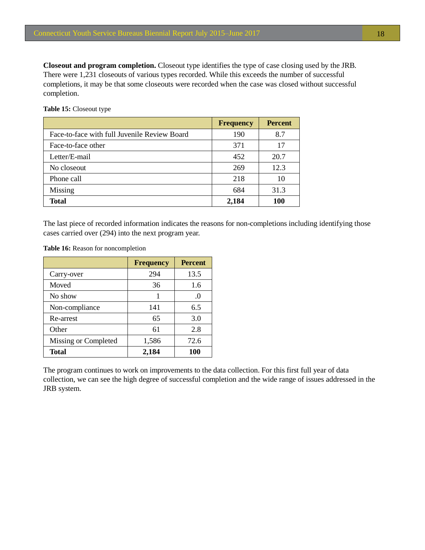<span id="page-20-0"></span>**Closeout and program completion.** Closeout type identifies the type of case closing used by the JRB. There were 1,231 closeouts of various types recorded. While this exceeds the number of successful completions, it may be that some closeouts were recorded when the case was closed without successful completion.

**Table 15:** Closeout type

|                                              | <b>Frequency</b> | <b>Percent</b> |
|----------------------------------------------|------------------|----------------|
| Face-to-face with full Juvenile Review Board | 190              | 8.7            |
| Face-to-face other                           | 371              | 17             |
| Letter/E-mail                                | 452              | 20.7           |
| No closeout                                  | 269              | 12.3           |
| Phone call                                   | 218              | 10             |
| Missing                                      | 684              | 31.3           |
| Total                                        | 2,184            | 100            |

The last piece of recorded information indicates the reasons for non-completions including identifying those cases carried over (294) into the next program year.

|                      | <b>Frequency</b> | <b>Percent</b> |
|----------------------|------------------|----------------|
| Carry-over           | 294              | 13.5           |
| Moved                | 36               | 1.6            |
| No show              |                  | .0             |
| Non-compliance       | 141              | 6.5            |
| Re-arrest            | 65               | 3.0            |
| Other                | 61               | 2.8            |
| Missing or Completed | 1,586            | 72.6           |
| <b>Total</b>         | 2,184            | 100            |

**Table 16:** Reason for noncompletion

The program continues to work on improvements to the data collection. For this first full year of data collection, we can see the high degree of successful completion and the wide range of issues addressed in the JRB system.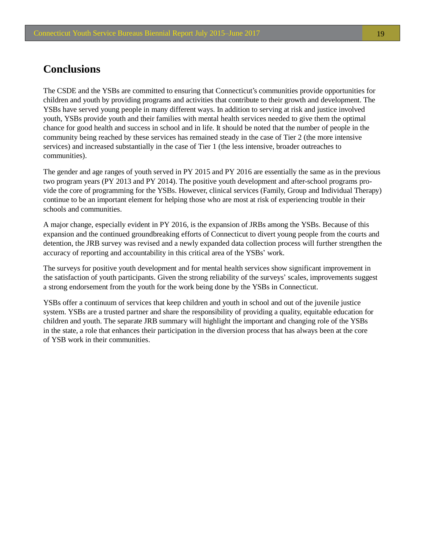## <span id="page-21-0"></span>**Conclusions**

The CSDE and the YSBs are committed to ensuring that Connecticut's communities provide opportunities for children and youth by providing programs and activities that contribute to their growth and development. The YSBs have served young people in many different ways. In addition to serving at risk and justice involved youth, YSBs provide youth and their families with mental health services needed to give them the optimal chance for good health and success in school and in life. It should be noted that the number of people in the community being reached by these services has remained steady in the case of Tier 2 (the more intensive services) and increased substantially in the case of Tier 1 (the less intensive, broader outreaches to communities).

The gender and age ranges of youth served in PY 2015 and PY 2016 are essentially the same as in the previous two program years (PY 2013 and PY 2014). The positive youth development and after-school programs provide the core of programming for the YSBs. However, clinical services (Family, Group and Individual Therapy) continue to be an important element for helping those who are most at risk of experiencing trouble in their schools and communities.

A major change, especially evident in PY 2016, is the expansion of JRBs among the YSBs. Because of this expansion and the continued groundbreaking efforts of Connecticut to divert young people from the courts and detention, the JRB survey was revised and a newly expanded data collection process will further strengthen the accuracy of reporting and accountability in this critical area of the YSBs' work.

The surveys for positive youth development and for mental health services show significant improvement in the satisfaction of youth participants. Given the strong reliability of the surveys' scales, improvements suggest a strong endorsement from the youth for the work being done by the YSBs in Connecticut.

YSBs offer a continuum of services that keep children and youth in school and out of the juvenile justice system. YSBs are a trusted partner and share the responsibility of providing a quality, equitable education for children and youth. The separate JRB summary will highlight the important and changing role of the YSBs in the state, a role that enhances their participation in the diversion process that has always been at the core of YSB work in their communities.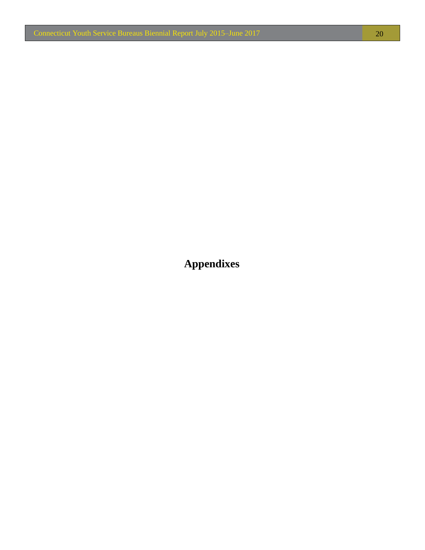<span id="page-22-0"></span>**Appendixes**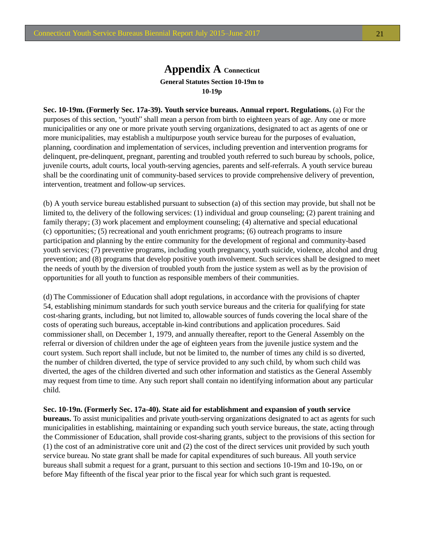### **Appendix A Connecticut General Statutes Section 10-19m to 10-19p**

**Sec. 10-19m. (Formerly Sec. 17a-39). Youth service bureaus. Annual report. Regulations.** (a) For the purposes of this section, "youth" shall mean a person from birth to eighteen years of age. Any one or more municipalities or any one or more private youth serving organizations, designated to act as agents of one or more municipalities, may establish a multipurpose youth service bureau for the purposes of evaluation, planning, coordination and implementation of services, including prevention and intervention programs for delinquent, pre-delinquent, pregnant, parenting and troubled youth referred to such bureau by schools, police, juvenile courts, adult courts, local youth-serving agencies, parents and self-referrals. A youth service bureau shall be the coordinating unit of community-based services to provide comprehensive delivery of prevention, intervention, treatment and follow-up services.

(b) A youth service bureau established pursuant to subsection (a) of this section may provide, but shall not be limited to, the delivery of the following services: (1) individual and group counseling; (2) parent training and family therapy; (3) work placement and employment counseling; (4) alternative and special educational (c) opportunities; (5) recreational and youth enrichment programs; (6) outreach programs to insure participation and planning by the entire community for the development of regional and community-based youth services; (7) preventive programs, including youth pregnancy, youth suicide, violence, alcohol and drug prevention; and (8) programs that develop positive youth involvement. Such services shall be designed to meet the needs of youth by the diversion of troubled youth from the justice system as well as by the provision of opportunities for all youth to function as responsible members of their communities.

(d) The Commissioner of Education shall adopt regulations, in accordance with the provisions of chapter 54, establishing minimum standards for such youth service bureaus and the criteria for qualifying for state cost-sharing grants, including, but not limited to, allowable sources of funds covering the local share of the costs of operating such bureaus, acceptable in-kind contributions and application procedures. Said commissioner shall, on December 1, 1979, and annually thereafter, report to the General Assembly on the referral or diversion of children under the age of eighteen years from the juvenile justice system and the court system. Such report shall include, but not be limited to, the number of times any child is so diverted, the number of children diverted, the type of service provided to any such child, by whom such child was diverted, the ages of the children diverted and such other information and statistics as the General Assembly may request from time to time. Any such report shall contain no identifying information about any particular child.

**Sec. 10-19n. (Formerly Sec. 17a-40). State aid for establishment and expansion of youth service bureaus.** To assist municipalities and private youth-serving organizations designated to act as agents for such municipalities in establishing, maintaining or expanding such youth service bureaus, the state, acting through the Commissioner of Education, shall provide cost-sharing grants, subject to the provisions of this section for (1) the cost of an administrative core unit and (2) the cost of the direct services unit provided by such youth service bureau. No state grant shall be made for capital expenditures of such bureaus. All youth service bureaus shall submit a request for a grant, pursuant to this section and sections 10-19m and 10-19o, on or before May fifteenth of the fiscal year prior to the fiscal year for which such grant is requested.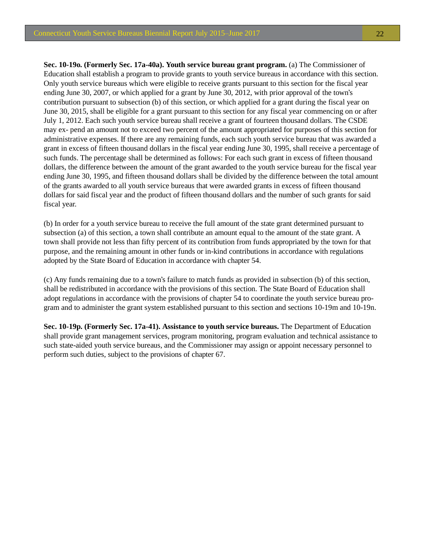**Sec. 10-19o. (Formerly Sec. 17a-40a). Youth service bureau grant program.** (a) The Commissioner of Education shall establish a program to provide grants to youth service bureaus in accordance with this section. Only youth service bureaus which were eligible to receive grants pursuant to this section for the fiscal year ending June 30, 2007, or which applied for a grant by June 30, 2012, with prior approval of the town's contribution pursuant to subsection (b) of this section, or which applied for a grant during the fiscal year on June 30, 2015, shall be eligible for a grant pursuant to this section for any fiscal year commencing on or after July 1, 2012. Each such youth service bureau shall receive a grant of fourteen thousand dollars. The CSDE may ex- pend an amount not to exceed two percent of the amount appropriated for purposes of this section for administrative expenses. If there are any remaining funds, each such youth service bureau that was awarded a grant in excess of fifteen thousand dollars in the fiscal year ending June 30, 1995, shall receive a percentage of such funds. The percentage shall be determined as follows: For each such grant in excess of fifteen thousand dollars, the difference between the amount of the grant awarded to the youth service bureau for the fiscal year ending June 30, 1995, and fifteen thousand dollars shall be divided by the difference between the total amount of the grants awarded to all youth service bureaus that were awarded grants in excess of fifteen thousand dollars for said fiscal year and the product of fifteen thousand dollars and the number of such grants for said fiscal year.

(b) In order for a youth service bureau to receive the full amount of the state grant determined pursuant to subsection (a) of this section, a town shall contribute an amount equal to the amount of the state grant. A town shall provide not less than fifty percent of its contribution from funds appropriated by the town for that purpose, and the remaining amount in other funds or in-kind contributions in accordance with regulations adopted by the State Board of Education in accordance with chapter 54.

(c) Any funds remaining due to a town's failure to match funds as provided in subsection (b) of this section, shall be redistributed in accordance with the provisions of this section. The State Board of Education shall adopt regulations in accordance with the provisions of chapter 54 to coordinate the youth service bureau program and to administer the grant system established pursuant to this section and sections 10-19m and 10-19n.

**Sec. 10-19p. (Formerly Sec. 17a-41). Assistance to youth service bureaus.** The Department of Education shall provide grant management services, program monitoring, program evaluation and technical assistance to such state-aided youth service bureaus, and the Commissioner may assign or appoint necessary personnel to perform such duties, subject to the provisions of chapter 67.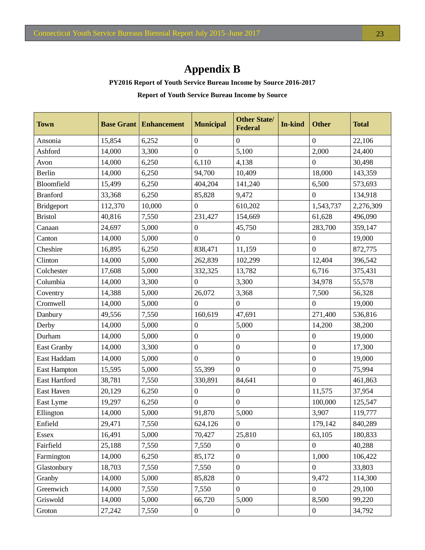## **Appendix B**

**PY2016 Report of Youth Service Bureau Income by Source 2016-2017** 

**Report of Youth Service Bureau Income by Source**

| <b>Town</b>        |         | <b>Base Grant   Enhancement</b> | <b>Municipal</b> | <b>Other State/</b><br><b>Federal</b> | In-kind | <b>Other</b>     | <b>Total</b> |
|--------------------|---------|---------------------------------|------------------|---------------------------------------|---------|------------------|--------------|
| Ansonia            | 15,854  | 6,252                           | $\boldsymbol{0}$ | $\overline{0}$                        |         | $\boldsymbol{0}$ | 22,106       |
| Ashford            | 14,000  | 3,300                           | $\boldsymbol{0}$ | 5,100                                 |         | 2,000            | 24,400       |
| Avon               | 14,000  | 6,250                           | 6,110            | 4,138                                 |         | $\theta$         | 30,498       |
| Berlin             | 14,000  | 6,250                           | 94,700           | 10,409                                |         | 18,000           | 143,359      |
| Bloomfield         | 15,499  | 6,250                           | 404,204          | 141,240                               |         | 6,500            | 573,693      |
| <b>Branford</b>    | 33,368  | 6,250                           | 85,828           | 9,472                                 |         | $\theta$         | 134,918      |
| <b>Bridgeport</b>  | 112,370 | 10,000                          | $\boldsymbol{0}$ | 610,202                               |         | 1,543,737        | 2,276,309    |
| <b>Bristol</b>     | 40,816  | 7,550                           | 231,427          | 154,669                               |         | 61,628           | 496,090      |
| Canaan             | 24,697  | 5,000                           | $\boldsymbol{0}$ | 45,750                                |         | 283,700          | 359,147      |
| Canton             | 14,000  | 5,000                           | $\overline{0}$   | $\boldsymbol{0}$                      |         | $\boldsymbol{0}$ | 19,000       |
| Cheshire           | 16,895  | 6,250                           | 838,471          | 11,159                                |         | $\overline{0}$   | 872,775      |
| Clinton            | 14,000  | 5,000                           | 262,839          | 102,299                               |         | 12,404           | 396,542      |
| Colchester         | 17,608  | 5,000                           | 332,325          | 13,782                                |         | 6,716            | 375,431      |
| Columbia           | 14,000  | 3,300                           | $\boldsymbol{0}$ | 3,300                                 |         | 34,978           | 55,578       |
| Coventry           | 14,388  | 5,000                           | 26,072           | 3,368                                 |         | 7,500            | 56,328       |
| Cromwell           | 14,000  | 5,000                           | $\boldsymbol{0}$ | $\overline{0}$                        |         | $\theta$         | 19,000       |
| Danbury            | 49,556  | 7,550                           | 160,619          | 47,691                                |         | 271,400          | 536,816      |
| Derby              | 14,000  | 5,000                           | $\boldsymbol{0}$ | 5,000                                 |         | 14,200           | 38,200       |
| Durham             | 14,000  | 5,000                           | $\boldsymbol{0}$ | $\boldsymbol{0}$                      |         | $\boldsymbol{0}$ | 19,000       |
| <b>East Granby</b> | 14,000  | 3,300                           | $\boldsymbol{0}$ | $\boldsymbol{0}$                      |         | $\boldsymbol{0}$ | 17,300       |
| East Haddam        | 14,000  | 5,000                           | $\boldsymbol{0}$ | $\boldsymbol{0}$                      |         | $\boldsymbol{0}$ | 19,000       |
| East Hampton       | 15,595  | 5,000                           | 55,399           | $\overline{0}$                        |         | $\boldsymbol{0}$ | 75,994       |
| East Hartford      | 38,781  | 7,550                           | 330,891          | 84,641                                |         | $\overline{0}$   | 461,863      |
| East Haven         | 20,129  | 6,250                           | $\boldsymbol{0}$ | $\overline{0}$                        |         | 11,575           | 37,954       |
| East Lyme          | 19,297  | 6,250                           | $\boldsymbol{0}$ | $\overline{0}$                        |         | 100,000          | 125,547      |
| Ellington          | 14,000  | 5,000                           | 91,870           | 5,000                                 |         | 3,907            | 119,777      |
| Enfield            | 29,471  | 7,550                           | 624,126          | $\overline{0}$                        |         | 179,142          | 840,289      |
| Essex              | 16,491  | 5,000                           | 70,427           | 25,810                                |         | 63,105           | 180,833      |
| Fairfield          | 25,188  | 7,550                           | 7,550            | $\overline{0}$                        |         | $\overline{0}$   | 40,288       |
| Farmington         | 14,000  | 6,250                           | 85,172           | $\overline{0}$                        |         | 1,000            | 106,422      |
| Glastonbury        | 18,703  | 7,550                           | 7,550            | $\boldsymbol{0}$                      |         | $\boldsymbol{0}$ | 33,803       |
| Granby             | 14,000  | 5,000                           | 85,828           | $\mathbf{0}$                          |         | 9,472            | 114,300      |
| Greenwich          | 14,000  | 7,550                           | 7,550            | $\boldsymbol{0}$                      |         | $\boldsymbol{0}$ | 29,100       |
| Griswold           | 14,000  | 5,000                           | 66,720           | 5,000                                 |         | 8,500            | 99,220       |
| Groton             | 27,242  | 7,550                           | $\overline{0}$   | $\boldsymbol{0}$                      |         | $\boldsymbol{0}$ | 34,792       |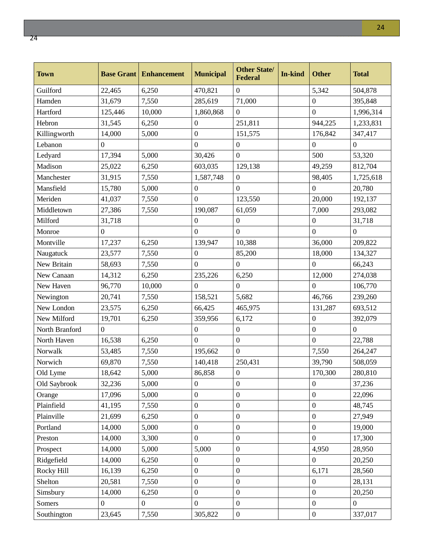ections.

| <b>Town</b>    |                  | <b>Base Grant   Enhancement</b> | <b>Municipal</b> | <b>Other State/</b><br><b>Federal</b> | In-kind | <b>Other</b>     | <b>Total</b>   |
|----------------|------------------|---------------------------------|------------------|---------------------------------------|---------|------------------|----------------|
| Guilford       | 22,465           | 6,250                           | 470,821          | $\overline{0}$                        |         | 5,342            | 504,878        |
| Hamden         | 31,679           | 7,550                           | 285,619          | 71,000                                |         | $\boldsymbol{0}$ | 395,848        |
| Hartford       | 125,446          | 10,000                          | 1,860,868        | $\theta$                              |         | $\boldsymbol{0}$ | 1,996,314      |
| Hebron         | 31,545           | 6,250                           | $\boldsymbol{0}$ | 251,811                               |         | 944,225          | 1,233,831      |
| Killingworth   | 14,000           | 5,000                           | $\boldsymbol{0}$ | 151,575                               |         | 176,842          | 347,417        |
| Lebanon        | $\boldsymbol{0}$ |                                 | $\mathbf{0}$     | $\boldsymbol{0}$                      |         | $\mathbf{0}$     | $\mathbf{0}$   |
| Ledyard        | 17,394           | 5,000                           | 30,426           | $\boldsymbol{0}$                      |         | 500              | 53,320         |
| Madison        | 25,022           | 6,250                           | 603,035          | 129,138                               |         | 49,259           | 812,704        |
| Manchester     | 31,915           | 7,550                           | 1,587,748        | $\boldsymbol{0}$                      |         | 98,405           | 1,725,618      |
| Mansfield      | 15,780           | 5,000                           | $\boldsymbol{0}$ | $\boldsymbol{0}$                      |         | $\overline{0}$   | 20,780         |
| Meriden        | 41,037           | 7,550                           | $\mathbf{0}$     | 123,550                               |         | 20,000           | 192,137        |
| Middletown     | 27,386           | 7,550                           | 190,087          | 61,059                                |         | 7,000            | 293,082        |
| Milford        | 31,718           |                                 | $\boldsymbol{0}$ | $\boldsymbol{0}$                      |         | $\boldsymbol{0}$ | 31,718         |
| Monroe         | $\theta$         |                                 | $\overline{0}$   | $\boldsymbol{0}$                      |         | $\overline{0}$   | $\overline{0}$ |
| Montville      | 17,237           | 6,250                           | 139,947          | 10,388                                |         | 36,000           | 209,822        |
| Naugatuck      | 23,577           | 7,550                           | $\mathbf{0}$     | 85,200                                |         | 18,000           | 134,327        |
| New Britain    | 58,693           | 7,550                           | $\overline{0}$   | $\Omega$                              |         | $\overline{0}$   | 66,243         |
| New Canaan     | 14,312           | 6,250                           | 235,226          | 6,250                                 |         | 12,000           | 274,038        |
| New Haven      | 96,770           | 10,000                          | $\overline{0}$   | $\boldsymbol{0}$                      |         | $\overline{0}$   | 106,770        |
| Newington      | 20,741           | 7,550                           | 158,521          | 5,682                                 |         | 46,766           | 239,260        |
| New London     | 23,575           | 6,250                           | 66,425           | 465,975                               |         | 131,287          | 693,512        |
| New Milford    | 19,701           | 6,250                           | 359,956          | 6,172                                 |         | $\boldsymbol{0}$ | 392,079        |
| North Branford | $\overline{0}$   |                                 | $\boldsymbol{0}$ | $\boldsymbol{0}$                      |         | $\mathbf{0}$     | $\overline{0}$ |
| North Haven    | 16,538           | 6,250                           | $\overline{0}$   | $\boldsymbol{0}$                      |         | $\boldsymbol{0}$ | 22,788         |
| Norwalk        | 53,485           | 7,550                           | 195,662          | $\boldsymbol{0}$                      |         | 7,550            | 264,247        |
| Norwich        | 69,870           | 7,550                           | 140,418          | 250,431                               |         | 39,790           | 508,059        |
| Old Lyme       | 18,642           | 5,000                           | 86,858           | 0                                     |         | 170,300          | 280,810        |
| Old Saybrook   | 32,236           | 5,000                           | $\boldsymbol{0}$ | $\boldsymbol{0}$                      |         | $\boldsymbol{0}$ | 37,236         |
| Orange         | 17,096           | 5,000                           | $\boldsymbol{0}$ | $\boldsymbol{0}$                      |         | $\boldsymbol{0}$ | 22,096         |
| Plainfield     | 41,195           | 7,550                           | $\boldsymbol{0}$ | $\boldsymbol{0}$                      |         | $\boldsymbol{0}$ | 48,745         |
| Plainville     | 21,699           | 6,250                           | $\boldsymbol{0}$ | $\boldsymbol{0}$                      |         | $\boldsymbol{0}$ | 27,949         |
| Portland       | 14,000           | 5,000                           | $\boldsymbol{0}$ | $\boldsymbol{0}$                      |         | $\boldsymbol{0}$ | 19,000         |
| Preston        | 14,000           | 3,300                           | $\overline{0}$   | $\boldsymbol{0}$                      |         | $\overline{0}$   | 17,300         |
| Prospect       | 14,000           | 5,000                           | 5,000            | $\boldsymbol{0}$                      |         | 4,950            | 28,950         |
| Ridgefield     | 14,000           | 6,250                           | $\boldsymbol{0}$ | $\boldsymbol{0}$                      |         | $\boldsymbol{0}$ | 20,250         |
| Rocky Hill     | 16,139           | 6,250                           | $\boldsymbol{0}$ | $\boldsymbol{0}$                      |         | 6,171            | 28,560         |
| Shelton        | 20,581           | 7,550                           | $\boldsymbol{0}$ | $\boldsymbol{0}$                      |         | $\boldsymbol{0}$ | 28,131         |
| Simsbury       | 14,000           | 6,250                           | $\boldsymbol{0}$ | $\boldsymbol{0}$                      |         | $\boldsymbol{0}$ | 20,250         |
| Somers         | $\boldsymbol{0}$ | $\boldsymbol{0}$                | $\mathbf{0}$     | $\boldsymbol{0}$                      |         | $\boldsymbol{0}$ | $\overline{0}$ |
| Southington    | 23,645           | 7,550                           | 305,822          | $\boldsymbol{0}$                      |         | $\boldsymbol{0}$ | 337,017        |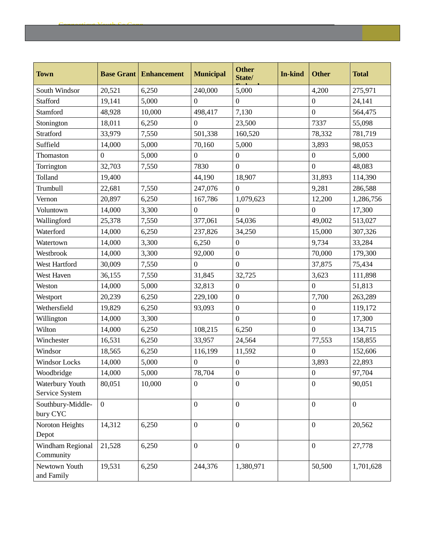| <b>Town</b>                       | <b>Base Grant</b> | <b>Enhancement</b> | <b>Municipal</b> | <b>Other</b><br>State/ | <b>In-kind</b> | <b>Other</b>     | <b>Total</b>   |
|-----------------------------------|-------------------|--------------------|------------------|------------------------|----------------|------------------|----------------|
| South Windsor                     | 20,521            | 6,250              | 240,000          | 5,000                  |                | 4,200            | 275,971        |
| Stafford                          | 19,141            | 5,000              | $\Omega$         | $\Omega$               |                | 0                | 24,141         |
| Stamford                          | 48,928            | 10,000             | 498,417          | 7,130                  |                | $\boldsymbol{0}$ | 564,475        |
| Stonington                        | 18,011            | 6,250              | $\boldsymbol{0}$ | 23,500                 |                | 7337             | 55,098         |
| Stratford                         | 33,979            | 7,550              | 501,338          | 160,520                |                | 78,332           | 781,719        |
| Suffield                          | 14,000            | 5,000              | 70,160           | 5,000                  |                | 3,893            | 98,053         |
| Thomaston                         | $\overline{0}$    | 5,000              | $\boldsymbol{0}$ | $\boldsymbol{0}$       |                | $\boldsymbol{0}$ | 5,000          |
| Torrington                        | 32,703            | 7,550              | 7830             | $\overline{0}$         |                | $\overline{0}$   | 48,083         |
| Tolland                           | 19,400            |                    | 44,190           | 18,907                 |                | 31,893           | 114,390        |
| Trumbull                          | 22,681            | 7,550              | 247,076          | $\boldsymbol{0}$       |                | 9,281            | 286,588        |
| Vernon                            | 20,897            | 6,250              | 167,786          | 1,079,623              |                | 12,200           | 1,286,756      |
| Voluntown                         | 14,000            | 3,300              | $\overline{0}$   | $\overline{0}$         |                | $\overline{0}$   | 17,300         |
| Wallingford                       | 25,378            | 7,550              | 377,061          | 54,036                 |                | 49,002           | 513,027        |
| Waterford                         | 14,000            | 6,250              | 237,826          | 34,250                 |                | 15,000           | 307,326        |
| Watertown                         | 14,000            | 3,300              | 6,250            | $\boldsymbol{0}$       |                | 9,734            | 33,284         |
| Westbrook                         | 14,000            | 3,300              | 92,000           | $\boldsymbol{0}$       |                | 70,000           | 179,300        |
| West Hartford                     | 30,009            | 7,550              | $\overline{0}$   | $\overline{0}$         |                | 37,875           | 75,434         |
| West Haven                        | 36,155            | 7,550              | 31,845           | 32,725                 |                | 3,623            | 111,898        |
| Weston                            | 14,000            | 5,000              | 32,813           | $\overline{0}$         |                | $\boldsymbol{0}$ | 51,813         |
| Westport                          | 20,239            | 6,250              | 229,100          | $\overline{0}$         |                | 7,700            | 263,289        |
| Wethersfield                      | 19,829            | 6,250              | 93,093           | $\boldsymbol{0}$       |                | $\boldsymbol{0}$ | 119,172        |
| Willington                        | 14,000            | 3,300              |                  | $\overline{0}$         |                | $\boldsymbol{0}$ | 17,300         |
| Wilton                            | 14,000            | 6,250              | 108,215          | 6,250                  |                | $\boldsymbol{0}$ | 134,715        |
| Winchester                        | 16,531            | 6,250              | 33,957           | 24,564                 |                | 77,553           | 158,855        |
| Windsor                           | 18,565            | 6,250              | 116,199          | 11,592                 |                | 0                | 152,606        |
| <b>Windsor Locks</b>              | 14,000            | 5,000              | $\boldsymbol{0}$ | $\boldsymbol{0}$       |                | 3,893            | 22,893         |
| Woodbridge                        | 14,000            | 5,000              | 78,704           | $\boldsymbol{0}$       |                | $\boldsymbol{0}$ | 97,704         |
| Waterbury Youth<br>Service System | 80,051            | 10,000             | $\boldsymbol{0}$ | $\overline{0}$         |                | $\overline{0}$   | 90,051         |
| Southbury-Middle-<br>bury CYC     | $\overline{0}$    |                    | $\boldsymbol{0}$ | $\overline{0}$         |                | $\boldsymbol{0}$ | $\overline{0}$ |
| Noroton Heights<br>Depot          | 14,312            | 6,250              | $\mathbf{0}$     | $\mathbf{0}$           |                | $\mathbf{0}$     | 20,562         |
| Windham Regional<br>Community     | 21,528            | 6,250              | $\boldsymbol{0}$ | $\boldsymbol{0}$       |                | $\boldsymbol{0}$ | 27,778         |
| Newtown Youth<br>and Family       | 19,531            | 6,250              | 244,376          | 1,380,971              |                | 50,500           | 1,701,628      |

Connecticut Youth Se Conn

Youth Service Bureaus Biennial Report July 2015–June 2017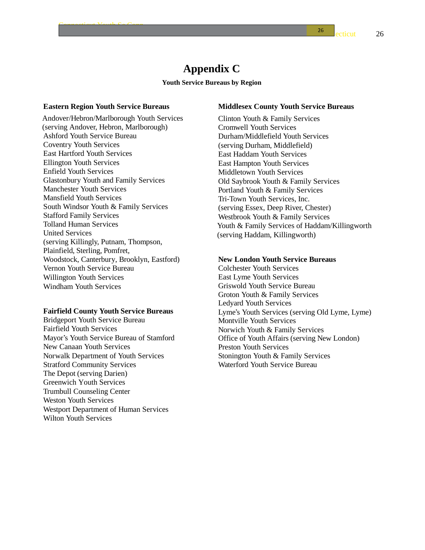## **Appendix C**

#### **Youth Service Bureaus by Region**

#### **Eastern Region Youth Service Bureaus**

Connecticut Youth Se Conn

Andover/Hebron/Marlborough Youth Services (serving Andover, Hebron, Marlborough) Ashford Youth Service Bureau Coventry Youth Services East Hartford Youth Services Ellington Youth Services Enfield Youth Services Glastonbury Youth and Family Services Manchester Youth Services Mansfield Youth Services South Windsor Youth & Family Services Stafford Family Services Tolland Human Services United Services (serving Killingly, Putnam, Thompson, Plainfield, Sterling, Pomfret, Woodstock, Canterbury, Brooklyn, Eastford) Vernon Youth Service Bureau Willington Youth Services Windham Youth Services

#### **Fairfield County Youth Service Bureaus**

Bridgeport Youth Service Bureau Fairfield Youth Services Mayor's Youth Service Bureau of Stamford New Canaan Youth Services Norwalk Department of Youth Services Stratford Community Services The Depot (serving Darien) Greenwich Youth Services Trumbull Counseling Center Weston Youth Services Westport Department of Human Services Wilton Youth Services

#### **Middlesex County Youth Service Bureaus**

Clinton Youth & Family Services Cromwell Youth Services Durham/Middlefield Youth Services (serving Durham, Middlefield) East Haddam Youth Services East Hampton Youth Services Middletown Youth Services Old Saybrook Youth & Family Services Portland Youth & Family Services Tri-Town Youth Services, Inc. (serving Essex, Deep River, Chester) Westbrook Youth & Family Services Youth & Family Services of Haddam/Killingworth (serving Haddam, Killingworth)

#### **New London Youth Service Bureaus**

Colchester Youth Services East Lyme Youth Services Griswold Youth Service Bureau Groton Youth & Family Services Ledyard Youth Services Lyme's Youth Services (serving Old Lyme, Lyme) Montville Youth Services Norwich Youth & Family Services Office of Youth Affairs (serving New London) Preston Youth Services Stonington Youth & Family Services Waterford Youth Service Bureau